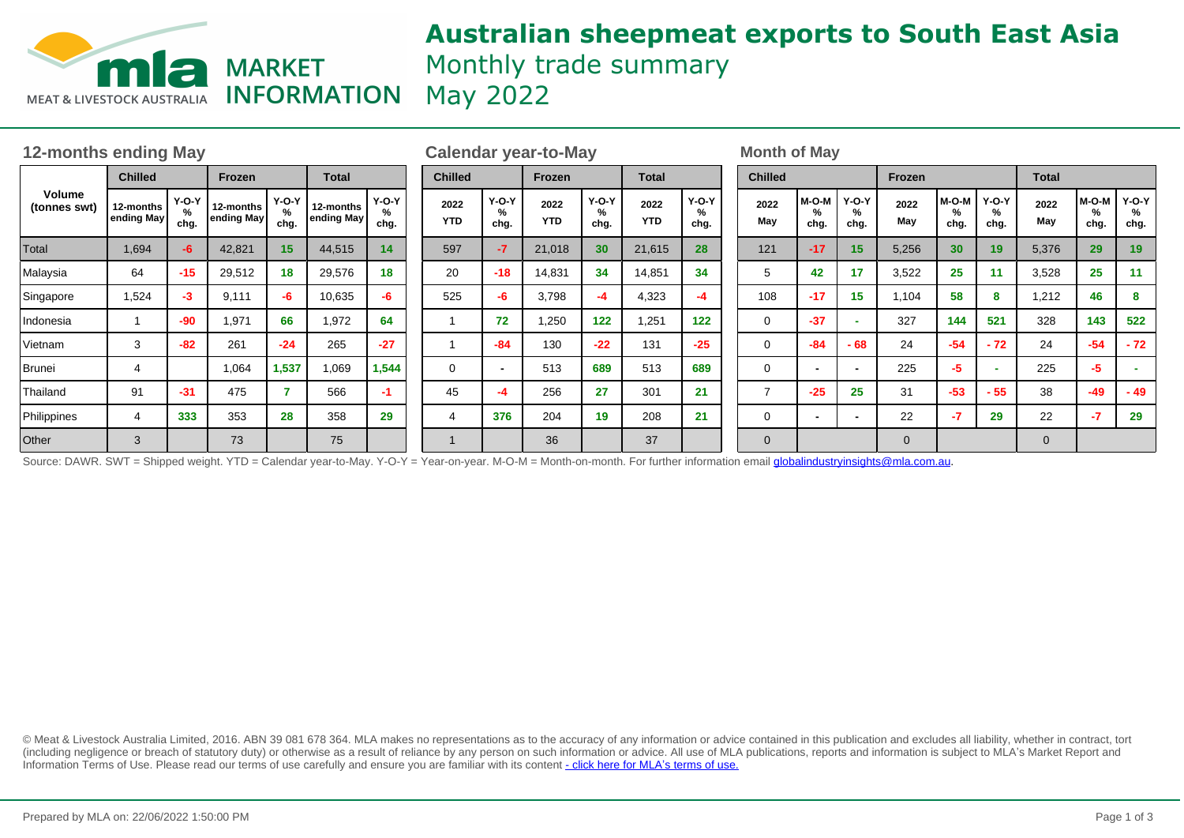

# **Australian sheepmeat exports to South East Asia** Monthly trade summary

| <b>12-months ending May</b> |                         |                      |                         |                         |                         |                      | <b>Calendar year-to-May</b> |                      |                    |                      |                    |                      | <b>Month of May</b> |                      |                           |              |                       |                      |             |                      |                      |
|-----------------------------|-------------------------|----------------------|-------------------------|-------------------------|-------------------------|----------------------|-----------------------------|----------------------|--------------------|----------------------|--------------------|----------------------|---------------------|----------------------|---------------------------|--------------|-----------------------|----------------------|-------------|----------------------|----------------------|
| Volume<br>(tonnes swt)      | <b>Chilled</b>          |                      | Frozen                  |                         | <b>Total</b>            |                      | <b>Chilled</b>              |                      | Frozen             |                      | <b>Total</b>       |                      | <b>Chilled</b>      |                      | Frozen                    |              |                       | <b>Total</b>         |             |                      |                      |
|                             | 12-months<br>ending May | $Y-O-Y$<br>%<br>chg. | 12-months<br>ending May | $Y-O-Y$<br>$\%$<br>chg. | 12-months<br>ending May | $Y-O-Y$<br>%<br>chg. | 2022<br><b>YTD</b>          | $Y-O-Y$<br>%<br>chg. | 2022<br><b>YTD</b> | $Y-O-Y$<br>℅<br>chg. | 2022<br><b>YTD</b> | $Y-O-Y$<br>%<br>chg. | 2022<br>May         | $M-O-M$<br>%<br>chg. | <b>Y-O-Y</b><br>%<br>chg. | 2022<br>May  | M-O-M<br>$\%$<br>chg. | $Y-O-Y$<br>%<br>chg. | 2022<br>May | $M-O-M$<br>%<br>chg. | $Y-O-Y$<br>%<br>chg. |
| Total                       | 1,694                   | $-6$                 | 42,821                  | 15                      | 44,515                  | 14                   | 597                         |                      | 21,018             | 30                   | 21,615             | 28                   | 121                 | $-17$                | 15                        | 5,256        | 30                    | 19                   | 5,376       | 29                   | 19                   |
| Malaysia                    | 64                      | $-15$                | 29,512                  | 18                      | 29,576                  | 18                   | 20                          | $-18$                | 14,831             | 34                   | 14,851             | 34                   | 5                   | 42                   | 17                        | 3,522        | 25                    | 11                   | 3,528       | 25                   | 11                   |
| Singapore                   | 1,524                   | -3                   | 9,111                   | -6                      | 10,635                  | -6                   | 525                         | -6                   | 3,798              | $-4$                 | 4,323              | -4                   | 108                 | $-17$                | 15                        | 1,104        | 58                    | 8                    | 1,212       | 46                   | 8                    |
| Indonesia                   |                         | $-90$                | 1,971                   | 66                      | 1,972                   | 64                   |                             | 72                   | 1,250              | 122                  | 1,251              | 122                  | 0                   | $-37$                |                           | 327          | 144                   | 521                  | 328         | 143                  | 522                  |
| Vietnam                     | 3                       | $-82$                | 261                     | $-24$                   | 265                     | $-27$                |                             | $-84$                | 130                | $-22$                | 131                | $-25$                | 0                   | $-84$                | - 68                      | 24           | $-54$                 | $-72$                | 24          | $-54$                | $-72$                |
| Brunei                      |                         |                      | 1,064                   | 1,537                   | 1,069                   | 1,544                | 0                           |                      | 513                | 689                  | 513                | 689                  | $\mathbf 0$         |                      |                           | 225          | -5                    | ٠                    | 225         | -5                   |                      |
| Thailand                    | 91                      | $-31$                | 475                     |                         | 566                     | $-1$                 | 45                          |                      | 256                | 27                   | 301                | 21                   | 7                   | $-25$                | 25                        | 31           | $-53$                 | $-55$                | 38          | $-49$                | $-49$                |
| Philippines                 |                         | 333                  | 353                     | 28                      | 358                     | 29                   | 4                           | 376                  | 204                | 19                   | 208                | 21                   | 0                   |                      |                           | 22           | -7                    | 29                   | 22          | $-7$                 | 29                   |
| Other                       | 3                       |                      | 73                      |                         | 75                      |                      |                             |                      | 36                 |                      | 37                 |                      | 0                   |                      |                           | $\mathbf{0}$ |                       |                      | $\mathbf 0$ |                      |                      |

Source: DAWR. SWT = Shipped weight. YTD = Calendar year-to-May. Y-O-Y = Year-on-year. M-O-M = Month-on-month. For further information email globalindustryinsights@mla.com.au.

© Meat & Livestock Australia Limited, 2016. ABN 39 081 678 364. MLA makes no representations as to the accuracy of any information or advice contained in this publication and excludes all liability, whether in contract, tort (including negligence or breach of statutory duty) or otherwise as a result of reliance by any person on such information or advice. All use of MLA publications, reports and information is subject to MLA's Market Report an Information Terms of Use. Please read our terms of use carefully and ensure you are familiar with its content [- click here for MLA](http://www.mla.com.au/files/edae0364-a185-4a6f-9dff-a42700d1463a/MLA-Market-Report-and-Information-Terms-of-use-Dec-2014.pdf)'[s terms of use.](http://www.mla.com.au/files/edae0364-a185-4a6f-9dff-a42700d1463a/MLA-Market-Report-and-Information-Terms-of-use-Dec-2014.pdf)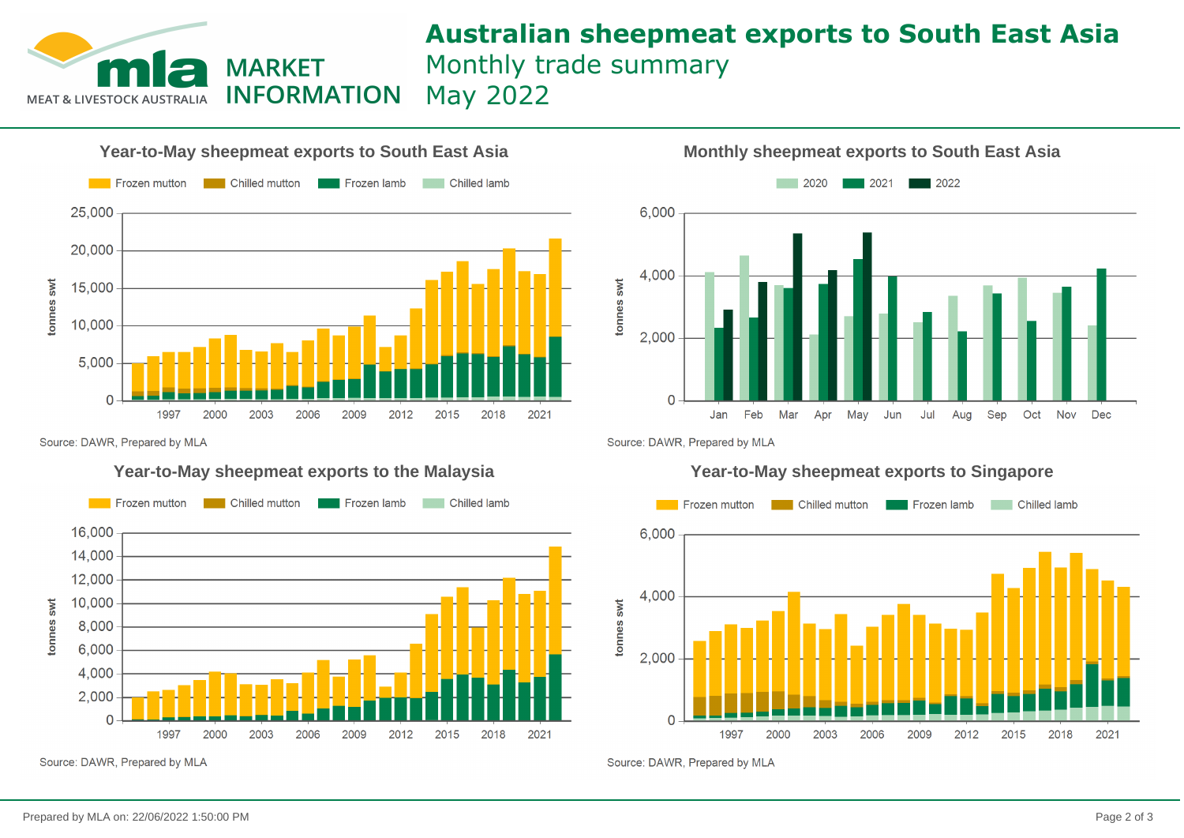## **MARKET INFORMATION MEAT & LIVESTOCK AUS**

## **Australian sheepmeat exports to South East Asia** Monthly trade summary May 2022

**Year-to-May sheepmeat exports to South East Asia Monthly sheepmeat exports to South East Asia** Frozen mutton Chilled mutton Frozen lamb Chilled lamb 25,000 20,000 onnes swt 15,000 10,000 5.000  $\Omega$ 1997 2000 2003 2006 2009 2012 2015 2018 2021



Source: DAWR, Prepared by MLA

### **Year-to-May sheepmeat exports to the Malaysia Year-to-May sheepmeat exports to Singapore**



Source: DAWR, Prepared by MLA

Source: DAWR, Prepared by MLA



Source: DAWR, Prepared by MLA